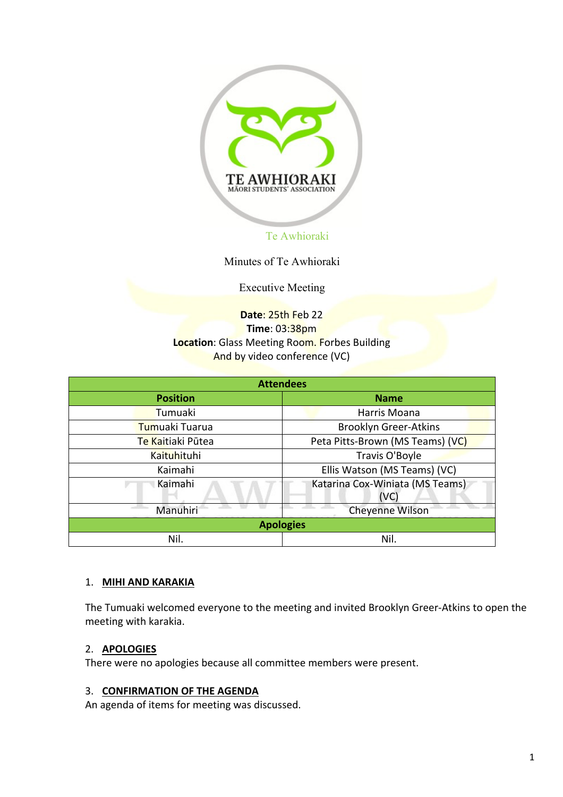

Minutes of Te Awhioraki

Executive Meeting

# **Date**: 25th Feb 22 **Time**: 03:38pm **Location**: Glass Meeting Room. Forbes Building And by video conference (VC)

| <b>Attendees</b>   |                                         |  |  |  |
|--------------------|-----------------------------------------|--|--|--|
| <b>Position</b>    | <b>Name</b>                             |  |  |  |
| Tumuaki            | Harris Moana                            |  |  |  |
| Tumuaki Tuarua     | <b>Brooklyn Greer-Atkins</b>            |  |  |  |
| Te Kaitiaki Pūtea  | Peta Pitts-Brown (MS Teams) (VC)        |  |  |  |
| <b>Kaituhituhi</b> | Travis O'Boyle                          |  |  |  |
| Kaimahi            | Ellis Watson (MS Teams) (VC)            |  |  |  |
| Kaimahi            | Katarina Cox-Winiata (MS Teams)<br>(VC) |  |  |  |
| Manuhiri           | Cheyenne Wilson                         |  |  |  |
|                    | <b>Apologies</b>                        |  |  |  |
| Nil.               | Nil.                                    |  |  |  |

#### 1. **MIHI AND KARAKIA**

The Tumuaki welcomed everyone to the meeting and invited Brooklyn Greer-Atkins to open the meeting with karakia.

## 2. **APOLOGIES**

There were no apologies because all committee members were present.

#### 3. **CONFIRMATION OF THE AGENDA**

An agenda of items for meeting was discussed.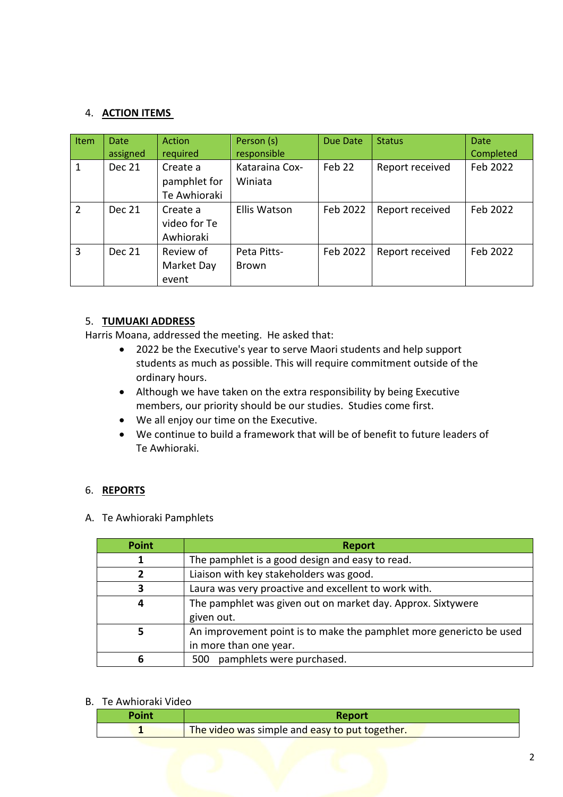## 4. **ACTION ITEMS**

| Item           | <b>Date</b><br>assigned | Action<br>required                       | Person (s)<br>responsible   | Due Date | <b>Status</b>   | <b>Date</b><br>Completed |
|----------------|-------------------------|------------------------------------------|-----------------------------|----------|-----------------|--------------------------|
| 1              | Dec 21                  | Create a<br>pamphlet for<br>Te Awhioraki | Kataraina Cox-<br>Winiata   | Feb 22   | Report received | Feb 2022                 |
| $\overline{2}$ | Dec 21                  | Create a<br>video for Te<br>Awhioraki    | <b>Ellis Watson</b>         | Feb 2022 | Report received | Feb 2022                 |
| 3              | <b>Dec 21</b>           | Review of<br>Market Day<br>event         | Peta Pitts-<br><b>Brown</b> | Feb 2022 | Report received | Feb 2022                 |

## 5. **TUMUAKI ADDRESS**

Harris Moana, addressed the meeting. He asked that:

- 2022 be the Executive's year to serve Maori students and help support students as much as possible. This will require commitment outside of the ordinary hours.
- Although we have taken on the extra responsibility by being Executive members, our priority should be our studies. Studies come first.
- We all enjoy our time on the Executive.
- We continue to build a framework that will be of benefit to future leaders of Te Awhioraki.

#### 6. **REPORTS**

A. Te Awhioraki Pamphlets

| <b>Point</b> | <b>Report</b>                                                       |  |  |  |  |
|--------------|---------------------------------------------------------------------|--|--|--|--|
|              | The pamphlet is a good design and easy to read.                     |  |  |  |  |
| 2            | Liaison with key stakeholders was good.                             |  |  |  |  |
| 3            | Laura was very proactive and excellent to work with.                |  |  |  |  |
| 4            | The pamphlet was given out on market day. Approx. Sixtywere         |  |  |  |  |
|              | given out.                                                          |  |  |  |  |
| 5            | An improvement point is to make the pamphlet more genericto be used |  |  |  |  |
|              | in more than one year.                                              |  |  |  |  |
| 6            | 500 pamphlets were purchased.                                       |  |  |  |  |

#### B. Te Awhioraki Video

| Point | Report                                         |
|-------|------------------------------------------------|
|       | The video was simple and easy to put together. |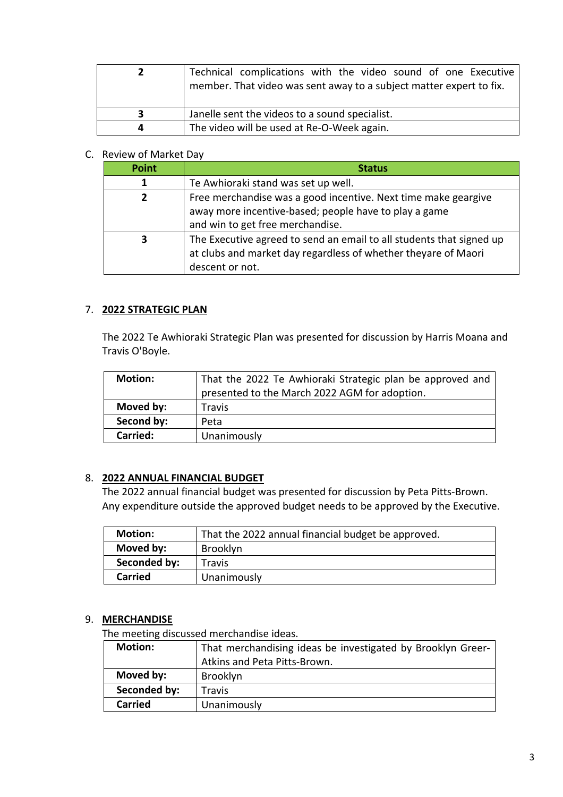|   | Technical complications with the video sound of one Executive<br>member. That video was sent away to a subject matter expert to fix. |
|---|--------------------------------------------------------------------------------------------------------------------------------------|
| 3 | Janelle sent the videos to a sound specialist.                                                                                       |
|   | The video will be used at Re-O-Week again.                                                                                           |

# C. Review of Market Day

| <b>Point</b> | <b>Status</b>                                                                                                                                               |  |  |  |
|--------------|-------------------------------------------------------------------------------------------------------------------------------------------------------------|--|--|--|
|              | Te Awhioraki stand was set up well.                                                                                                                         |  |  |  |
| 2            | Free merchandise was a good incentive. Next time make geargive<br>away more incentive-based; people have to play a game<br>and win to get free merchandise. |  |  |  |
| 3            | The Executive agreed to send an email to all students that signed up<br>at clubs and market day regardless of whether theyare of Maori<br>descent or not.   |  |  |  |

## 7. **2022 STRATEGIC PLAN**

The 2022 Te Awhioraki Strategic Plan was presented for discussion by Harris Moana and Travis O'Boyle.

| <b>Motion:</b> | That the 2022 Te Awhioraki Strategic plan be approved and<br>presented to the March 2022 AGM for adoption. |
|----------------|------------------------------------------------------------------------------------------------------------|
| Moved by:      | <b>Travis</b>                                                                                              |
| Second by:     | Peta                                                                                                       |
| Carried:       | Unanimously                                                                                                |

## 8. **2022 ANNUAL FINANCIAL BUDGET**

The 2022 annual financial budget was presented for discussion by Peta Pitts-Brown. Any expenditure outside the approved budget needs to be approved by the Executive.

| <b>Motion:</b> | That the 2022 annual financial budget be approved. |
|----------------|----------------------------------------------------|
| Moved by:      | <b>Brooklyn</b>                                    |
| Seconded by:   | Travis                                             |
| Carried        | Unanimously                                        |

## 9. **MERCHANDISE**

The meeting discussed merchandise ideas.

| <b>Motion:</b> | That merchandising ideas be investigated by Brooklyn Greer- |  |  |
|----------------|-------------------------------------------------------------|--|--|
|                | Atkins and Peta Pitts-Brown.                                |  |  |
| Moved by:      | Brooklyn                                                    |  |  |
| Seconded by:   | <b>Travis</b>                                               |  |  |
| <b>Carried</b> | Unanimously                                                 |  |  |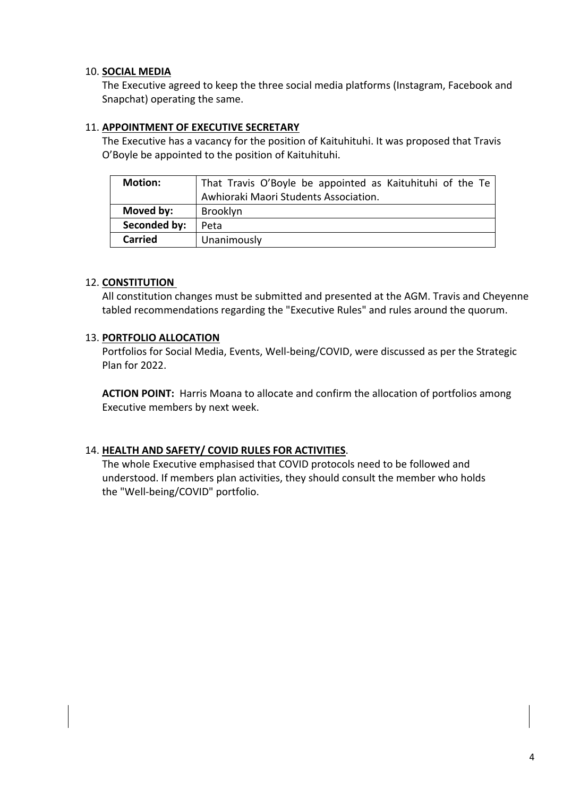## 10. **SOCIAL MEDIA**

The Executive agreed to keep the three social media platforms (Instagram, Facebook and Snapchat) operating the same.

#### 11. **APPOINTMENT OF EXECUTIVE SECRETARY**

The Executive has a vacancy for the position of Kaituhituhi. It was proposed that Travis O'Boyle be appointed to the position of Kaituhituhi.

| <b>Motion:</b> | That Travis O'Boyle be appointed as Kaituhituhi of the Te |
|----------------|-----------------------------------------------------------|
|                | Awhioraki Maori Students Association.                     |
| Moved by:      | Brooklyn                                                  |
| Seconded by:   | Peta                                                      |
| <b>Carried</b> | Unanimously                                               |

## 12. **CONSTITUTION**

All constitution changes must be submitted and presented at the AGM. Travis and Cheyenne tabled recommendations regarding the "Executive Rules" and rules around the quorum.

## 13. **PORTFOLIO ALLOCATION**

Portfolios for Social Media, Events, Well-being/COVID, were discussed as per the Strategic Plan for 2022.

**ACTION POINT:** Harris Moana to allocate and confirm the allocation of portfolios among Executive members by next week.

## 14. **HEALTH AND SAFETY/ COVID RULES FOR ACTIVITIES**.

The whole Executive emphasised that COVID protocols need to be followed and understood. If members plan activities, they should consult the member who holds the "Well-being/COVID" portfolio.